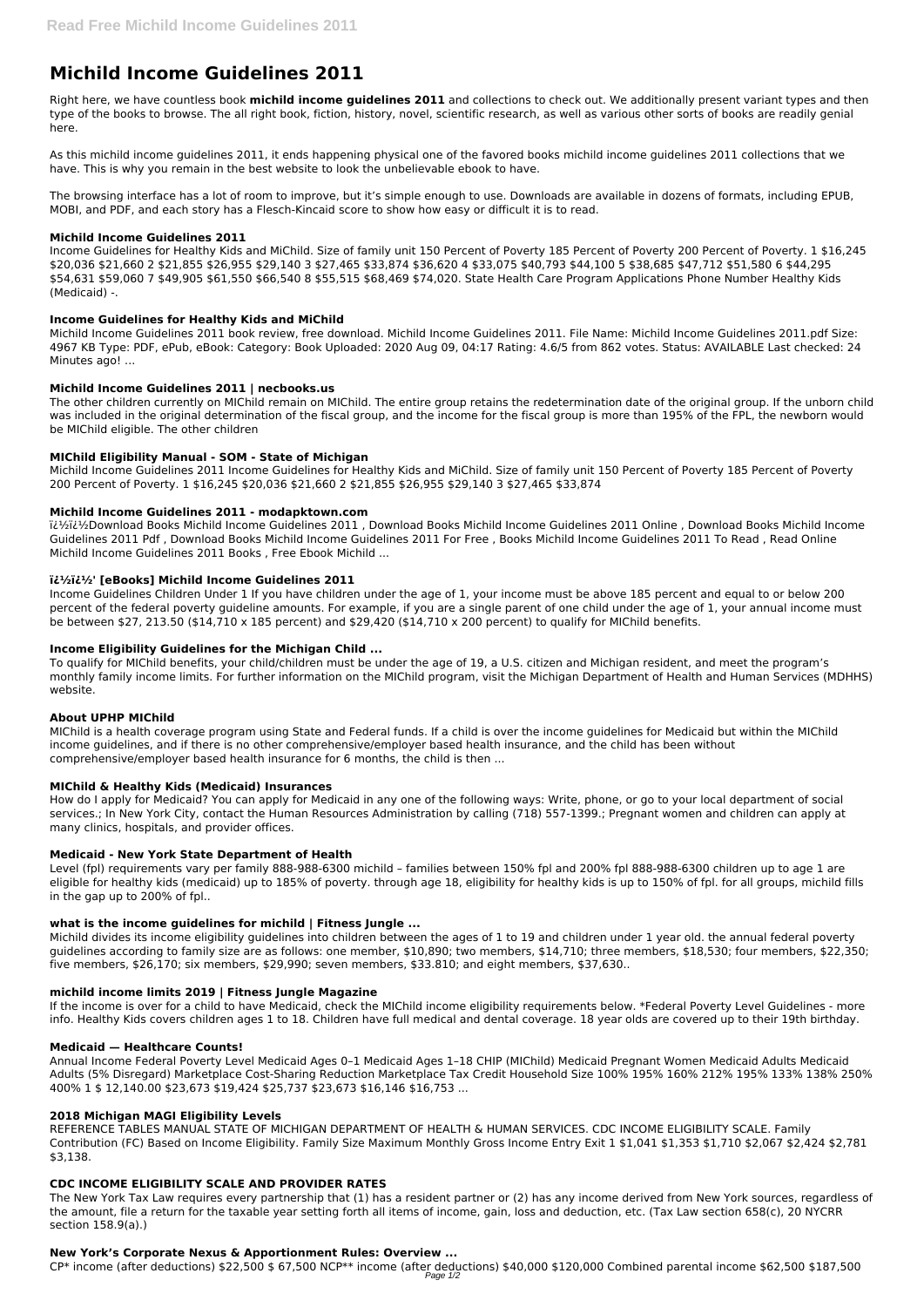# **Michild Income Guidelines 2011**

Right here, we have countless book **michild income guidelines 2011** and collections to check out. We additionally present variant types and then type of the books to browse. The all right book, fiction, history, novel, scientific research, as well as various other sorts of books are readily genial here.

As this michild income guidelines 2011, it ends happening physical one of the favored books michild income guidelines 2011 collections that we have. This is why you remain in the best website to look the unbelievable ebook to have.

The browsing interface has a lot of room to improve, but it's simple enough to use. Downloads are available in dozens of formats, including EPUB, MOBI, and PDF, and each story has a Flesch-Kincaid score to show how easy or difficult it is to read.

## **Michild Income Guidelines 2011**

Income Guidelines for Healthy Kids and MiChild. Size of family unit 150 Percent of Poverty 185 Percent of Poverty 200 Percent of Poverty. 1 \$16,245 \$20,036 \$21,660 2 \$21,855 \$26,955 \$29,140 3 \$27,465 \$33,874 \$36,620 4 \$33,075 \$40,793 \$44,100 5 \$38,685 \$47,712 \$51,580 6 \$44,295 \$54,631 \$59,060 7 \$49,905 \$61,550 \$66,540 8 \$55,515 \$68,469 \$74,020. State Health Care Program Applications Phone Number Healthy Kids (Medicaid) -.

# **Income Guidelines for Healthy Kids and MiChild**

Michild Income Guidelines 2011 book review, free download. Michild Income Guidelines 2011. File Name: Michild Income Guidelines 2011.pdf Size: 4967 KB Type: PDF, ePub, eBook: Category: Book Uploaded: 2020 Aug 09, 04:17 Rating: 4.6/5 from 862 votes. Status: AVAILABLE Last checked: 24 Minutes ago! ...

## **Michild Income Guidelines 2011 | necbooks.us**

The other children currently on MIChild remain on MIChild. The entire group retains the redetermination date of the original group. If the unborn child was included in the original determination of the fiscal group, and the income for the fiscal group is more than 195% of the FPL, the newborn would be MIChild eligible. The other children

## **MIChild Eligibility Manual - SOM - State of Michigan**

Michild Income Guidelines 2011 Income Guidelines for Healthy Kids and MiChild. Size of family unit 150 Percent of Poverty 185 Percent of Poverty 200 Percent of Poverty. 1 \$16,245 \$20,036 \$21,660 2 \$21,855 \$26,955 \$29,140 3 \$27,465 \$33,874

### **Michild Income Guidelines 2011 - modapktown.com**

��Download Books Michild Income Guidelines 2011 , Download Books Michild Income Guidelines 2011 Online , Download Books Michild Income Guidelines 2011 Pdf , Download Books Michild Income Guidelines 2011 For Free , Books Michild Income Guidelines 2011 To Read , Read Online Michild Income Guidelines 2011 Books , Free Ebook Michild ...

### **��' [eBooks] Michild Income Guidelines 2011**

Income Guidelines Children Under 1 If you have children under the age of 1, your income must be above 185 percent and equal to or below 200 percent of the federal poverty guideline amounts. For example, if you are a single parent of one child under the age of 1, your annual income must be between \$27, 213.50 (\$14,710 x 185 percent) and \$29,420 (\$14,710 x 200 percent) to qualify for MIChild benefits.

### **Income Eligibility Guidelines for the Michigan Child ...**

To qualify for MIChild benefits, your child/children must be under the age of 19, a U.S. citizen and Michigan resident, and meet the program's monthly family income limits. For further information on the MIChild program, visit the Michigan Department of Health and Human Services (MDHHS) website.

### **About UPHP MIChild**

MIChild is a health coverage program using State and Federal funds. If a child is over the income guidelines for Medicaid but within the MIChild income guidelines, and if there is no other comprehensive/employer based health insurance, and the child has been without comprehensive/employer based health insurance for 6 months, the child is then ...

### **MIChild & Healthy Kids (Medicaid) Insurances**

How do I apply for Medicaid? You can apply for Medicaid in any one of the following ways: Write, phone, or go to your local department of social services.; In New York City, contact the Human Resources Administration by calling (718) 557-1399.; Pregnant women and children can apply at many clinics, hospitals, and provider offices.

### **Medicaid - New York State Department of Health**

Level (fpl) requirements vary per family 888-988-6300 michild – families between 150% fpl and 200% fpl 888-988-6300 children up to age 1 are eligible for healthy kids (medicaid) up to 185% of poverty. through age 18, eligibility for healthy kids is up to 150% of fpl. for all groups, michild fills in the gap up to 200% of fpl..

### **what is the income guidelines for michild | Fitness Jungle ...**

Michild divides its income eligibility guidelines into children between the ages of 1 to 19 and children under 1 year old. the annual federal poverty guidelines according to family size are as follows: one member, \$10,890; two members, \$14,710; three members, \$18,530; four members, \$22,350; five members, \$26,170; six members, \$29,990; seven members, \$33.810; and eight members, \$37,630..

#### **michild income limits 2019 | Fitness Jungle Magazine**

If the income is over for a child to have Medicaid, check the MIChild income eligibility requirements below. \*Federal Poverty Level Guidelines - more info. Healthy Kids covers children ages 1 to 18. Children have full medical and dental coverage. 18 year olds are covered up to their 19th birthday.

#### **Medicaid — Healthcare Counts!**

Annual Income Federal Poverty Level Medicaid Ages 0–1 Medicaid Ages 1–18 CHIP (MIChild) Medicaid Pregnant Women Medicaid Adults Medicaid Adults (5% Disregard) Marketplace Cost-Sharing Reduction Marketplace Tax Credit Household Size 100% 195% 160% 212% 195% 133% 138% 250% 400% 1 \$ 12,140.00 \$23,673 \$19,424 \$25,737 \$23,673 \$16,146 \$16,753 ...

#### **2018 Michigan MAGI Eligibility Levels**

REFERENCE TABLES MANUAL STATE OF MICHIGAN DEPARTMENT OF HEALTH & HUMAN SERVICES. CDC INCOME ELIGIBILITY SCALE. Family Contribution (FC) Based on Income Eligibility. Family Size Maximum Monthly Gross Income Entry Exit 1 \$1,041 \$1,353 \$1,710 \$2,067 \$2,424 \$2,781 \$3,138.

## **CDC INCOME ELIGIBILITY SCALE AND PROVIDER RATES**

The New York Tax Law requires every partnership that (1) has a resident partner or (2) has any income derived from New York sources, regardless of the amount, file a return for the taxable year setting forth all items of income, gain, loss and deduction, etc. (Tax Law section 658(c), 20 NYCRR section 158.9(a).)

#### **New York's Corporate Nexus & Apportionment Rules: Overview ...**

CP\* income (after deductions) \$22,500 \$ 67,500 NCP\*\* income (after deductions) \$40,000 \$120,000 Combined parental income \$62,500 \$187,500 Page 1/2